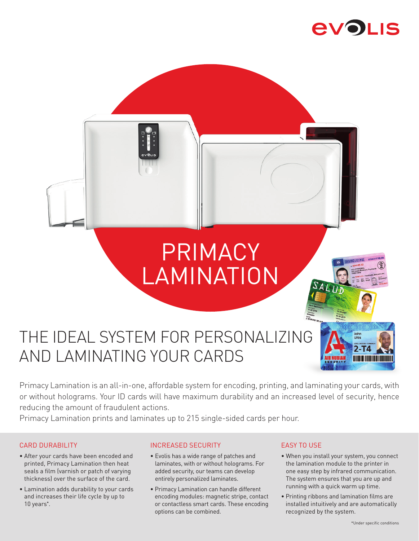# **AVOLIS**



Primacy Lamination is an all-in-one, affordable system for encoding, printing, and laminating your cards, with or without holograms. Your ID cards will have maximum durability and an increased level of security, hence reducing the amount of fraudulent actions.

Primacy Lamination prints and laminates up to 215 single-sided cards per hour.

## CARD DURABILITY

- After your cards have been encoded and printed, Primacy Lamination then heat seals a film (varnish or patch of varying thickness) over the surface of the card.
- Lamination adds durability to your cards and increases their life cycle by up to 10 years**\*** .

## INCREASED SECURITY

- Evolis has a wide range of patches and laminates, with or without holograms. For added security, our teams can develop entirely personalized laminates.
- Primacy Lamination can handle different encoding modules: magnetic stripe, contact or contactless smart cards. These encoding options can be combined.

### EASY TO USE

- When you install your system, you connect the lamination module to the printer in one easy step by infrared communication. The system ensures that you are up and running with a quick warm up time.
- Printing ribbons and lamination films are installed intuitively and are automatically recognized by the system.